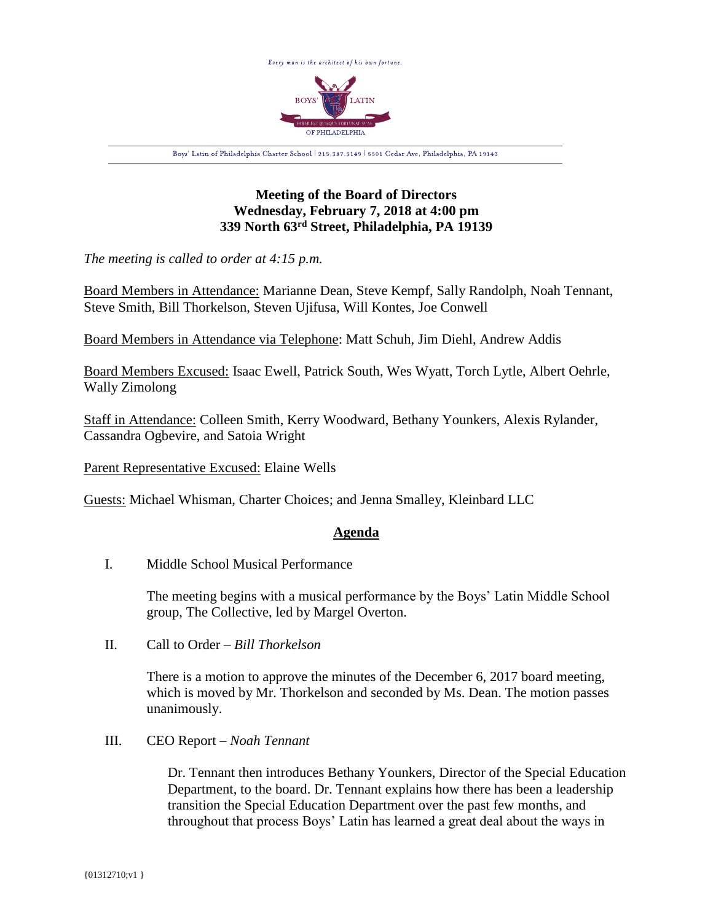

# **Meeting of the Board of Directors Wednesday, February 7, 2018 at 4:00 pm 339 North 63rd Street, Philadelphia, PA 19139**

*The meeting is called to order at 4:15 p.m.*

Board Members in Attendance: Marianne Dean, Steve Kempf, Sally Randolph, Noah Tennant, Steve Smith, Bill Thorkelson, Steven Ujifusa, Will Kontes, Joe Conwell

Board Members in Attendance via Telephone: Matt Schuh, Jim Diehl, Andrew Addis

Board Members Excused: Isaac Ewell, Patrick South, Wes Wyatt, Torch Lytle, Albert Oehrle, Wally Zimolong

Staff in Attendance: Colleen Smith, Kerry Woodward, Bethany Younkers, Alexis Rylander, Cassandra Ogbevire, and Satoia Wright

Parent Representative Excused: Elaine Wells

Guests: Michael Whisman, Charter Choices; and Jenna Smalley, Kleinbard LLC

## **Agenda**

I. Middle School Musical Performance

The meeting begins with a musical performance by the Boys' Latin Middle School group, The Collective, led by Margel Overton.

II. Call to Order – *Bill Thorkelson*

There is a motion to approve the minutes of the December 6, 2017 board meeting, which is moved by Mr. Thorkelson and seconded by Ms. Dean. The motion passes unanimously.

III. CEO Report – *Noah Tennant*

Dr. Tennant then introduces Bethany Younkers, Director of the Special Education Department, to the board. Dr. Tennant explains how there has been a leadership transition the Special Education Department over the past few months, and throughout that process Boys' Latin has learned a great deal about the ways in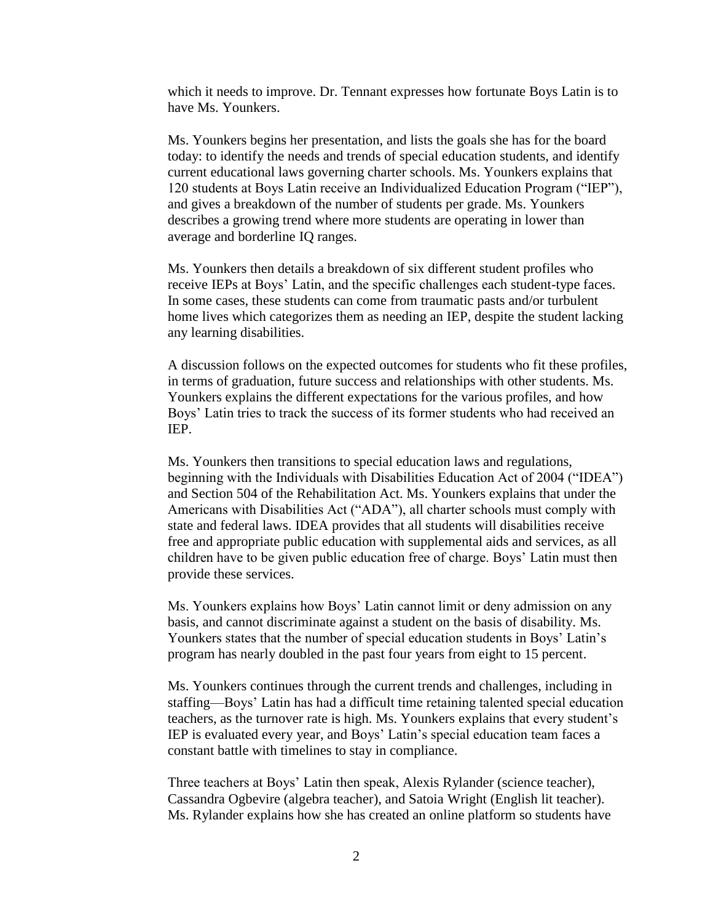which it needs to improve. Dr. Tennant expresses how fortunate Boys Latin is to have Ms. Younkers.

Ms. Younkers begins her presentation, and lists the goals she has for the board today: to identify the needs and trends of special education students, and identify current educational laws governing charter schools. Ms. Younkers explains that 120 students at Boys Latin receive an Individualized Education Program ("IEP"), and gives a breakdown of the number of students per grade. Ms. Younkers describes a growing trend where more students are operating in lower than average and borderline IQ ranges.

Ms. Younkers then details a breakdown of six different student profiles who receive IEPs at Boys' Latin, and the specific challenges each student-type faces. In some cases, these students can come from traumatic pasts and/or turbulent home lives which categorizes them as needing an IEP, despite the student lacking any learning disabilities.

A discussion follows on the expected outcomes for students who fit these profiles, in terms of graduation, future success and relationships with other students. Ms. Younkers explains the different expectations for the various profiles, and how Boys' Latin tries to track the success of its former students who had received an IEP.

Ms. Younkers then transitions to special education laws and regulations, beginning with the Individuals with Disabilities Education Act of 2004 ("IDEA") and Section 504 of the Rehabilitation Act. Ms. Younkers explains that under the Americans with Disabilities Act ("ADA"), all charter schools must comply with state and federal laws. IDEA provides that all students will disabilities receive free and appropriate public education with supplemental aids and services, as all children have to be given public education free of charge. Boys' Latin must then provide these services.

Ms. Younkers explains how Boys' Latin cannot limit or deny admission on any basis, and cannot discriminate against a student on the basis of disability. Ms. Younkers states that the number of special education students in Boys' Latin's program has nearly doubled in the past four years from eight to 15 percent.

Ms. Younkers continues through the current trends and challenges, including in staffing—Boys' Latin has had a difficult time retaining talented special education teachers, as the turnover rate is high. Ms. Younkers explains that every student's IEP is evaluated every year, and Boys' Latin's special education team faces a constant battle with timelines to stay in compliance.

Three teachers at Boys' Latin then speak, Alexis Rylander (science teacher), Cassandra Ogbevire (algebra teacher), and Satoia Wright (English lit teacher). Ms. Rylander explains how she has created an online platform so students have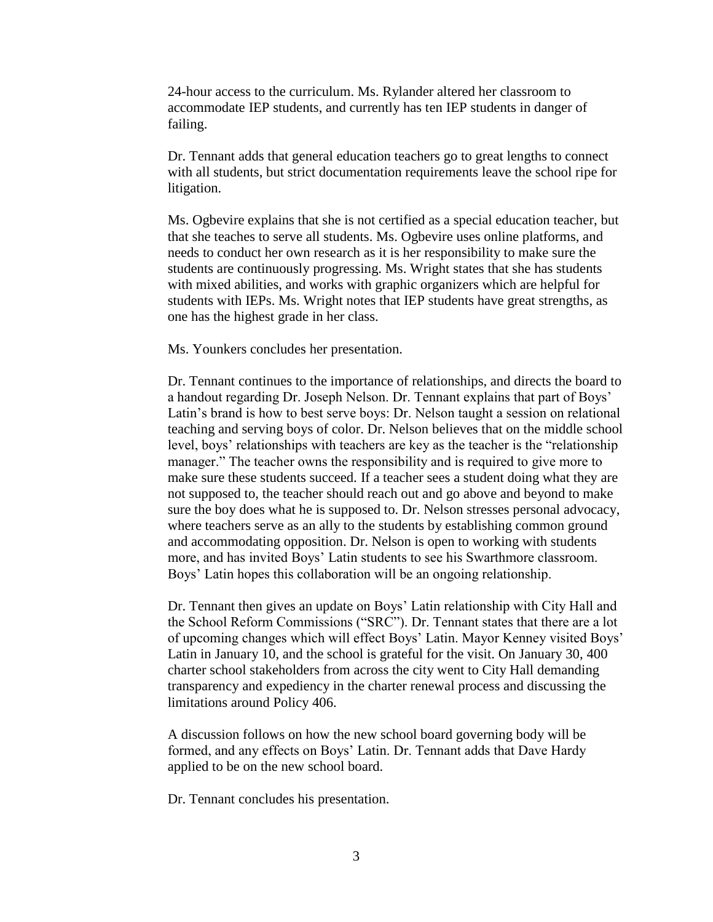24-hour access to the curriculum. Ms. Rylander altered her classroom to accommodate IEP students, and currently has ten IEP students in danger of failing.

Dr. Tennant adds that general education teachers go to great lengths to connect with all students, but strict documentation requirements leave the school ripe for litigation.

Ms. Ogbevire explains that she is not certified as a special education teacher, but that she teaches to serve all students. Ms. Ogbevire uses online platforms, and needs to conduct her own research as it is her responsibility to make sure the students are continuously progressing. Ms. Wright states that she has students with mixed abilities, and works with graphic organizers which are helpful for students with IEPs. Ms. Wright notes that IEP students have great strengths, as one has the highest grade in her class.

Ms. Younkers concludes her presentation.

Dr. Tennant continues to the importance of relationships, and directs the board to a handout regarding Dr. Joseph Nelson. Dr. Tennant explains that part of Boys' Latin's brand is how to best serve boys: Dr. Nelson taught a session on relational teaching and serving boys of color. Dr. Nelson believes that on the middle school level, boys' relationships with teachers are key as the teacher is the "relationship manager." The teacher owns the responsibility and is required to give more to make sure these students succeed. If a teacher sees a student doing what they are not supposed to, the teacher should reach out and go above and beyond to make sure the boy does what he is supposed to. Dr. Nelson stresses personal advocacy, where teachers serve as an ally to the students by establishing common ground and accommodating opposition. Dr. Nelson is open to working with students more, and has invited Boys' Latin students to see his Swarthmore classroom. Boys' Latin hopes this collaboration will be an ongoing relationship.

Dr. Tennant then gives an update on Boys' Latin relationship with City Hall and the School Reform Commissions ("SRC"). Dr. Tennant states that there are a lot of upcoming changes which will effect Boys' Latin. Mayor Kenney visited Boys' Latin in January 10, and the school is grateful for the visit. On January 30, 400 charter school stakeholders from across the city went to City Hall demanding transparency and expediency in the charter renewal process and discussing the limitations around Policy 406.

A discussion follows on how the new school board governing body will be formed, and any effects on Boys' Latin. Dr. Tennant adds that Dave Hardy applied to be on the new school board.

Dr. Tennant concludes his presentation.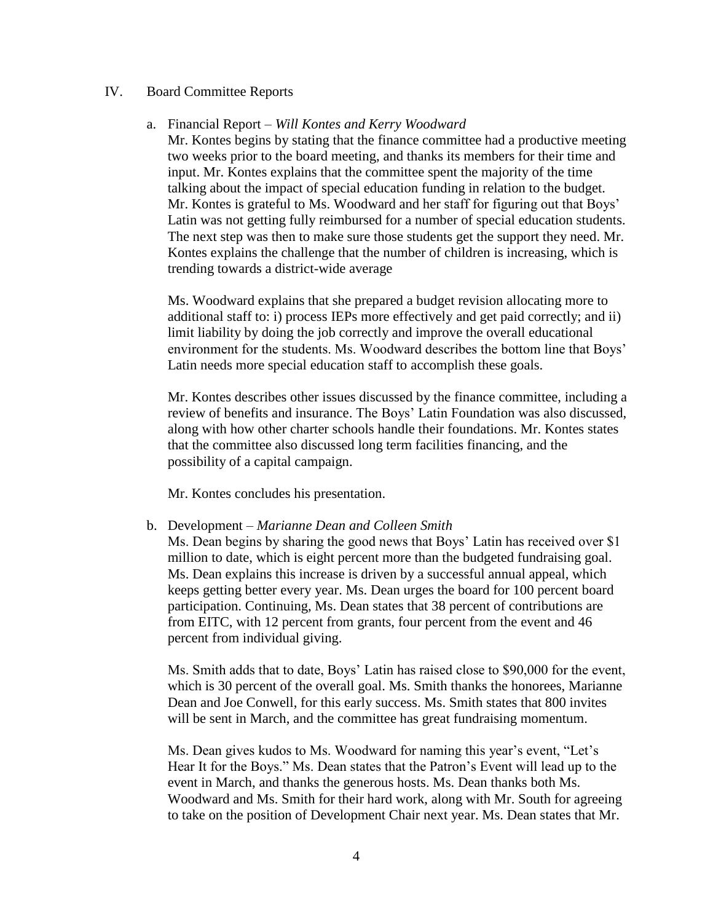### IV. Board Committee Reports

#### a. Financial Report – *Will Kontes and Kerry Woodward*

Mr. Kontes begins by stating that the finance committee had a productive meeting two weeks prior to the board meeting, and thanks its members for their time and input. Mr. Kontes explains that the committee spent the majority of the time talking about the impact of special education funding in relation to the budget. Mr. Kontes is grateful to Ms. Woodward and her staff for figuring out that Boys' Latin was not getting fully reimbursed for a number of special education students. The next step was then to make sure those students get the support they need. Mr. Kontes explains the challenge that the number of children is increasing, which is trending towards a district-wide average

Ms. Woodward explains that she prepared a budget revision allocating more to additional staff to: i) process IEPs more effectively and get paid correctly; and ii) limit liability by doing the job correctly and improve the overall educational environment for the students. Ms. Woodward describes the bottom line that Boys' Latin needs more special education staff to accomplish these goals.

Mr. Kontes describes other issues discussed by the finance committee, including a review of benefits and insurance. The Boys' Latin Foundation was also discussed, along with how other charter schools handle their foundations. Mr. Kontes states that the committee also discussed long term facilities financing, and the possibility of a capital campaign.

Mr. Kontes concludes his presentation.

### b. Development – *Marianne Dean and Colleen Smith*

Ms. Dean begins by sharing the good news that Boys' Latin has received over \$1 million to date, which is eight percent more than the budgeted fundraising goal. Ms. Dean explains this increase is driven by a successful annual appeal, which keeps getting better every year. Ms. Dean urges the board for 100 percent board participation. Continuing, Ms. Dean states that 38 percent of contributions are from EITC, with 12 percent from grants, four percent from the event and 46 percent from individual giving.

Ms. Smith adds that to date, Boys' Latin has raised close to \$90,000 for the event, which is 30 percent of the overall goal. Ms. Smith thanks the honorees, Marianne Dean and Joe Conwell, for this early success. Ms. Smith states that 800 invites will be sent in March, and the committee has great fundraising momentum.

Ms. Dean gives kudos to Ms. Woodward for naming this year's event, "Let's Hear It for the Boys." Ms. Dean states that the Patron's Event will lead up to the event in March, and thanks the generous hosts. Ms. Dean thanks both Ms. Woodward and Ms. Smith for their hard work, along with Mr. South for agreeing to take on the position of Development Chair next year. Ms. Dean states that Mr.